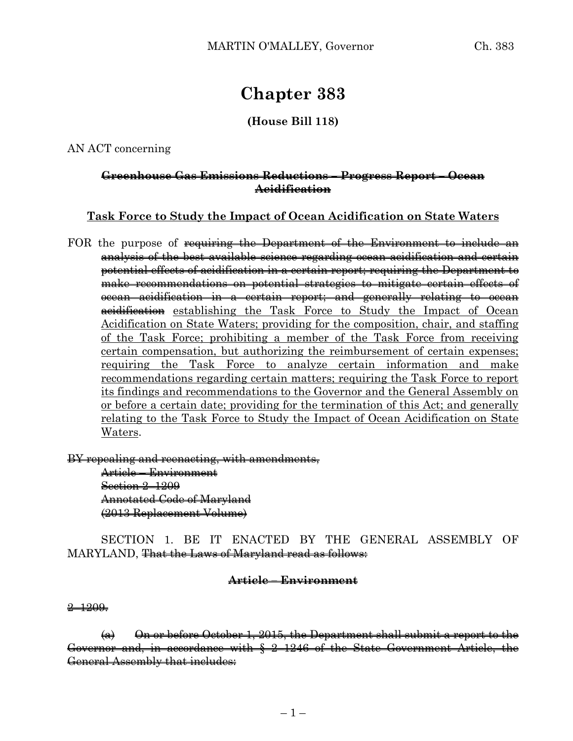# **Chapter 383**

## **(House Bill 118)**

#### AN ACT concerning

#### **Greenhouse Gas Emissions Reductions – Progress Report – Ocean Acidification**

### **Task Force to Study the Impact of Ocean Acidification on State Waters**

FOR the purpose of requiring the Department of the Environment to include an analysis of the best available science regarding ocean acidification and certain potential effects of acidification in a certain report; requiring the Department to make recommendations on potential strategies to mitigate certain effects of ocean acidification in a certain report; and generally relating to ocean acidification establishing the Task Force to Study the Impact of Ocean Acidification on State Waters; providing for the composition, chair, and staffing of the Task Force; prohibiting a member of the Task Force from receiving certain compensation, but authorizing the reimbursement of certain expenses; requiring the Task Force to analyze certain information and make recommendations regarding certain matters; requiring the Task Force to report its findings and recommendations to the Governor and the General Assembly on or before a certain date; providing for the termination of this Act; and generally relating to the Task Force to Study the Impact of Ocean Acidification on State Waters.

BY repealing and reenacting, with amendments, Article – Environment Section 2-1209 Annotated Code of Maryland (2013 Replacement Volume)

SECTION 1. BE IT ENACTED BY THE GENERAL ASSEMBLY OF MARYLAND, That the Laws of Maryland read as follows:

## **Article – Environment**

2–1209.

 $(a)$  On or before October 1, 2015, the Department shall submit a report to the Governor and, in accordance with § 2–1246 of the State Government Article, the General Assembly that includes: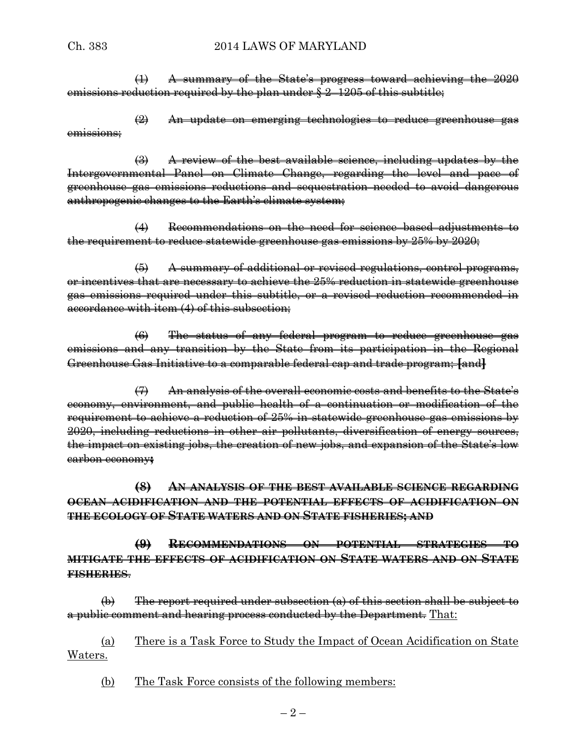(1) A summary of the State's progress toward achieving the 2020 emissions reduction required by the plan under § 2–1205 of this subtitle;

(2) An update on emerging technologies to reduce greenhouse gas emissions;

 $\left(\frac{1}{2}\right)$  A review of the best available science, including updates by the Intergovernmental Panel on Climate Change, regarding the level and pace of greenhouse gas emissions reductions and sequestration needed to avoid dangerous anthropogenic changes to the Earth's climate system;

(4) Recommendations on the need for science–based adjustments to the requirement to reduce statewide greenhouse gas emissions by 25% by 2020;

(5) A summary of additional or revised regulations, control programs, or incentives that are necessary to achieve the 25% reduction in statewide greenhouse gas emissions required under this subtitle, or a revised reduction recommended in accordance with item (4) of this subsection;

(6) The status of any federal program to reduce greenhouse gas emissions and any transition by the State from its participation in the Regional Greenhouse Gas Initiative to a comparable federal cap and trade program; **[**and**]**

(7) An analysis of the overall economic costs and benefits to the State's economy, environment, and public health of a continuation or modification of the requirement to achieve a reduction of 25% in statewide greenhouse gas emissions by 2020, including reductions in other air pollutants, diversification of energy sources, the impact on existing jobs, the creation of new jobs, and expansion of the State's low carbon economy**;**

**(8) AN ANALYSIS OF THE BEST AVAILABLE SCIENCE REGARDING OCEAN ACIDIFICATION AND THE POTENTIAL EFFECTS OF ACIDIFICATION ON THE ECOLOGY OF STATE WATERS AND ON STATE FISHERIES; AND**

**(9) RECOMMENDATIONS ON POTENTIAL STRATEGIES TO MITIGATE THE EFFECTS OF ACIDIFICATION ON STATE WATERS AND ON STATE FISHERIES**.

(b) The report required under subsection (a) of this section shall be subject to a public comment and hearing process conducted by the Department. That:

(a) There is a Task Force to Study the Impact of Ocean Acidification on State Waters.

(b) The Task Force consists of the following members: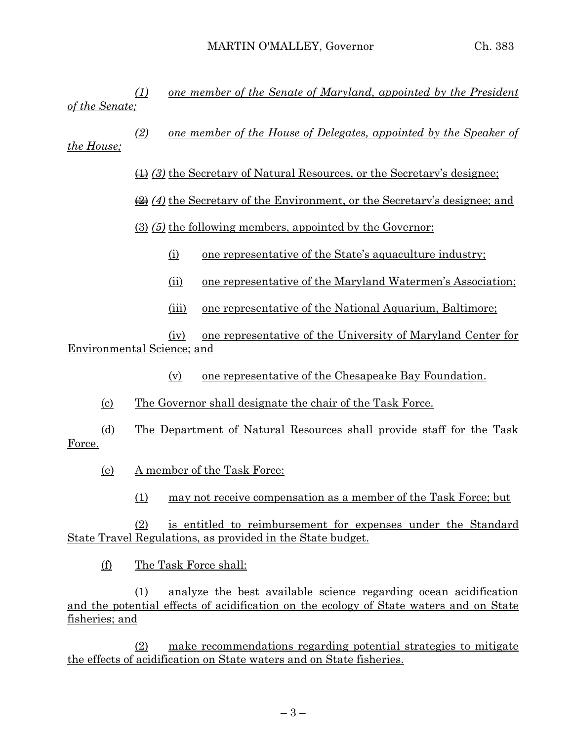*(1) one member of the Senate of Maryland, appointed by the President of the Senate;*

*(2) one member of the House of Delegates, appointed by the Speaker of the House;*

(1) *(3)* the Secretary of Natural Resources, or the Secretary's designee;

(2) *(4)* the Secretary of the Environment, or the Secretary's designee; and

(3) *(5)* the following members, appointed by the Governor:

- (i) one representative of the State's aquaculture industry;
- (ii) one representative of the Maryland Watermen's Association;
- (iii) one representative of the National Aquarium, Baltimore;

(iv) one representative of the University of Maryland Center for Environmental Science; and

(v) one representative of the Chesapeake Bay Foundation.

(c) The Governor shall designate the chair of the Task Force.

(d) The Department of Natural Resources shall provide staff for the Task Force.

- (e) A member of the Task Force:
	- (1) may not receive compensation as a member of the Task Force; but

(2) is entitled to reimbursement for expenses under the Standard State Travel Regulations, as provided in the State budget.

(f) The Task Force shall:

(1) analyze the best available science regarding ocean acidification and the potential effects of acidification on the ecology of State waters and on State fisheries; and

(2) make recommendations regarding potential strategies to mitigate the effects of acidification on State waters and on State fisheries.